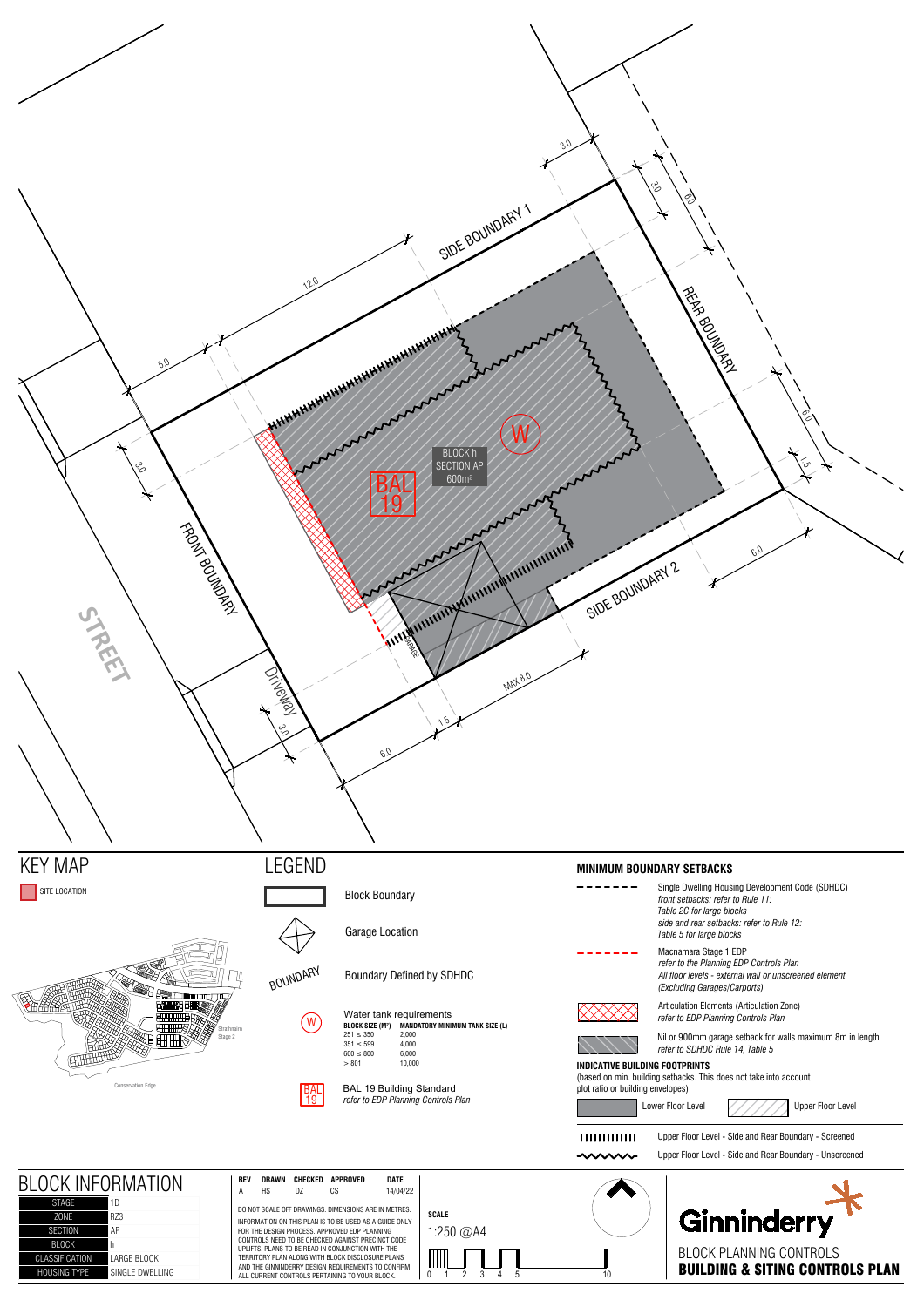